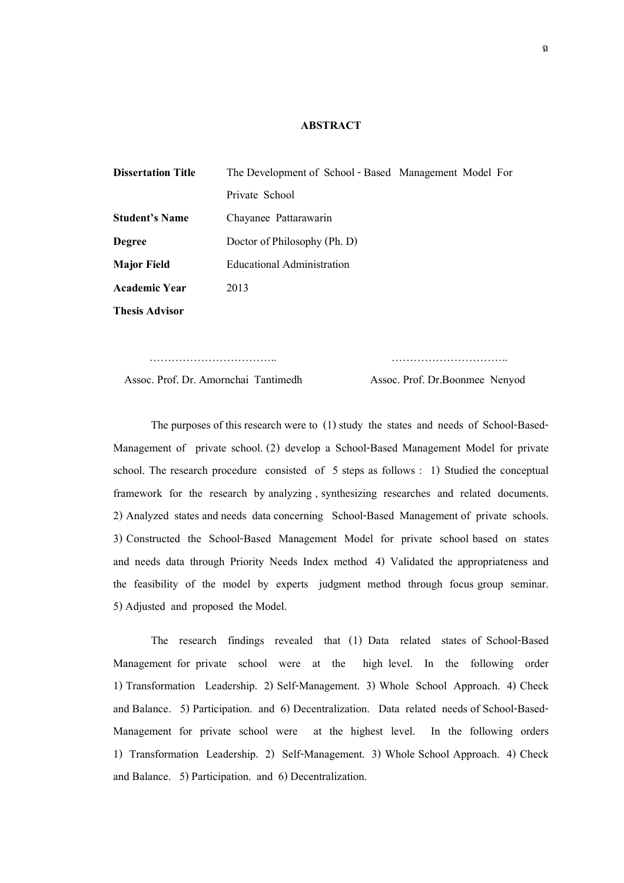## **ABSTRACT**

| <b>Dissertation Title</b> | The Development of School - Based Management Model For |  |  |
|---------------------------|--------------------------------------------------------|--|--|
|                           | Private School                                         |  |  |
| <b>Student's Name</b>     | Chayanee Pattarawarin                                  |  |  |
| <b>Degree</b>             | Doctor of Philosophy (Ph. D)                           |  |  |
| <b>Major Field</b>        | Educational Administration                             |  |  |
| <b>Academic Year</b>      | 2013                                                   |  |  |
| <b>Thesis Advisor</b>     |                                                        |  |  |

Assoc. Prof. Dr. Amornchai Tantimedh Assoc. Prof. Dr.Boonmee Nenyod

The purposes of this research were to (1) study the states and needs of School-Based-Management of private school. (2) develop a School-Based Management Model for private school. The research procedure consisted of 5 steps as follows : 1) Studied the conceptual framework for the research by analyzing , synthesizing researches and related documents. 2) Analyzed states and needs data concerning School-Based Management of private schools. 3) Constructed the School-Based Management Model for private school based on states and needs data through Priority Needs Index method 4) Validated the appropriateness and the feasibility of the model by experts judgment method through focus group seminar. 5) Adjusted and proposed the Model.

…………………………….. …………………………..

The research findings revealed that (1) Data related states of School-Based Management for private school were at the high level. In the following order 1) Transformation Leadership. 2) Self-Management. 3) Whole School Approach. 4) Check and Balance. 5) Participation. and 6) Decentralization. Data related needs of School-Based-Management for private school were at the highest level. In the following orders 1) Transformation Leadership. 2) Self-Management. 3) Whole School Approach. 4) Check and Balance. 5) Participation. and 6) Decentralization.